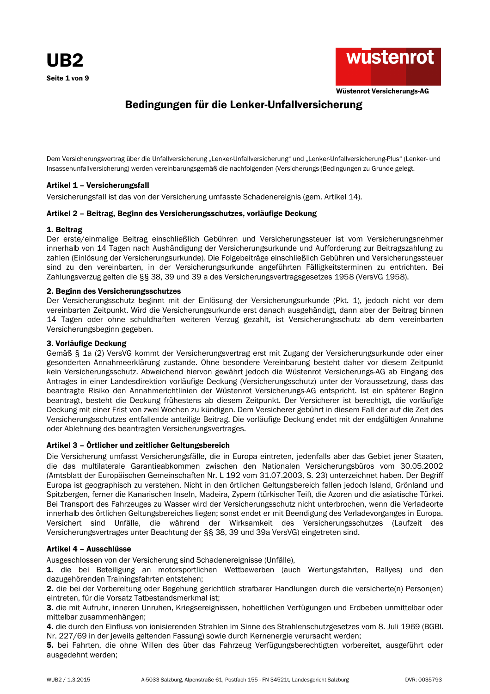

# Bedingungen für die Lenker-Unfallversicherung

Dem Versicherungsvertrag über die Unfallversicherung "Lenker-Unfallversicherung" und "Lenker-Unfallversicherung-Plus" (Lenker- und Insassenunfallversicherung) werden vereinbarungsgemäß die nachfolgenden (Versicherungs-)Bedingungen zu Grunde gelegt.

# Artikel 1 - Versicherungsfall

Versicherungsfall ist das von der Versicherung umfasste Schadenereignis (gem. Artikel 14).

# Artikel 2 - Beitrag, Beginn des Versicherungsschutzes, vorläufige Deckung

#### 1. Beitrag

Der erste/einmalige Beitrag einschließlich Gebühren und Versicherungssteuer ist vom Versicherungsnehmer innerhalb von 14 Tagen nach Aushändigung der Versicherungsurkunde und Aufforderung zur Beitragszahlung zu zahlen (Einlösung der Versicherungsurkunde). Die Folgebeiträge einschließlich Gebühren und Versicherungssteuer sind zu den vereinbarten, in der Versicherungsurkunde angeführten Fälligkeitsterminen zu entrichten. Bei Zahlungsverzug gelten die §§ 38, 39 und 39 a des Versicherungsvertragsgesetzes 1958 (VersVG 1958).

#### 2. Beginn des Versicherungsschutzes

Der Versicherungsschutz beginnt mit der Einlösung der Versicherungsurkunde (Pkt. 1), jedoch nicht vor dem vereinbarten Zeitpunkt. Wird die Versicherungsurkunde erst danach ausgehändigt, dann aber der Beitrag binnen 14 Tagen oder ohne schuldhaften weiteren Verzug gezahlt, ist Versicherungsschutz ab dem vereinbarten Versicherungsbeginn gegeben.

## 3. Vorläufige Deckung

Gemäß § 1a (2) VersVG kommt der Versicherungsvertrag erst mit Zugang der Versicherungsurkunde oder einer gesonderten Annahmeerklärung zustande. Ohne besondere Vereinbarung besteht daher vor diesem Zeitpunkt kein Versicherungsschutz. Abweichend hiervon gewährt jedoch die Wüstenrot Versicherungs-AG ab Eingang des Antrages in einer Landesdirektion vorläufige Deckung (Versicherungsschutz) unter der Voraussetzung, dass das beantragte Risiko den Annahmerichtlinien der Wüstenrot Versicherungs-AG entspricht. Ist ein späterer Beginn beantragt, besteht die Deckung frühestens ab diesem Zeitpunkt. Der Versicherer ist berechtigt, die vorläufige Deckung mit einer Frist von zwei Wochen zu kündigen. Dem Versicherer gebührt in diesem Fall der auf die Zeit des Versicherungsschutzes entfallende anteilige Beitrag. Die vorläufige Deckung endet mit der endgültigen Annahme oder Ablehnung des beantragten Versicherungsvertrages.

# Artikel 3 - Örtlicher und zeitlicher Geltungsbereich

Die Versicherung umfasst Versicherungsfälle, die in Europa eintreten, jedenfalls aber das Gebiet jener Staaten, die das multilaterale Garantieabkommen zwischen den Nationalen Versicherungsbüros vom 30.05.2002 (Amtsblatt der Europäischen Gemeinschaften Nr. L 192 vom 31.07.2003, S. 23) unterzeichnet haben. Der Begriff Europa ist geographisch zu verstehen. Nicht in den örtlichen Geltungsbereich fallen jedoch Island, Grönland und Spitzbergen, ferner die Kanarischen Inseln, Madeira, Zypern (türkischer Teil), die Azoren und die asiatische Türkei. Bei Transport des Fahrzeuges zu Wasser wird der Versicherungsschutz nicht unterbrochen, wenn die Verladeorte innerhalb des örtlichen Geltungsbereiches liegen; sonst endet er mit Beendigung des Verladevorganges in Europa. Versichert sind Unfälle, die während der Wirksamkeit des Versicherungsschutzes (Laufzeit des Versicherungsvertrages unter Beachtung der §§ 38, 39 und 39a VersVG) eingetreten sind.

# Artikel 4 - Ausschlüsse

Ausgeschlossen von der Versicherung sind Schadenereignisse (Unfälle),

1. die bei Beteiligung an motorsportlichen Wettbewerben (auch Wertungsfahrten, Rallyes) und den dazugehörenden Trainingsfahrten entstehen;

2. die bei der Vorbereitung oder Begehung gerichtlich strafbarer Handlungen durch die versicherte(n) Person(en) eintreten, für die Vorsatz Tatbestandsmerkmal ist;

3. die mit Aufruhr, inneren Unruhen, Kriegsereignissen, hoheitlichen Verfügungen und Erdbeben unmittelbar oder mittelbar zusammenhängen:

4. die durch den Einfluss von ionisierenden Strahlen im Sinne des Strahlenschutzgesetzes vom 8. Juli 1969 (BGBI. Nr. 227/69 in der jeweils geltenden Fassung) sowie durch Kernenergie verursacht werden;

5. bei Fahrten, die ohne Willen des über das Fahrzeug Verfügungsberechtigten vorbereitet, ausgeführt oder ausgedehnt werden;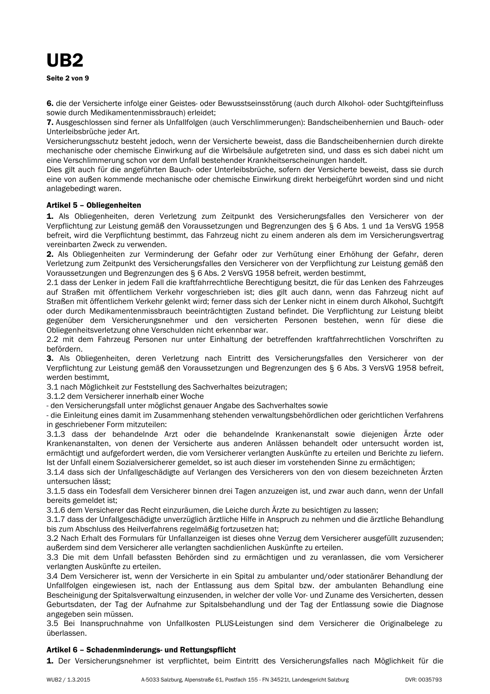6. die der Versicherte infolge einer Geistes- oder Bewusstseinsstörung (auch durch Alkohol- oder Suchtgifteinfluss sowie durch Medikamentenmissbrauch) erleidet:

7. Ausgeschlossen sind ferner als Unfallfolgen (auch Verschlimmerungen): Bandscheibenhernien und Bauch- oder Unterleibsbrüche jeder Art.

Versicherungsschutz besteht jedoch, wenn der Versicherte beweist, dass die Bandscheibenhernien durch direkte mechanische oder chemische Einwirkung auf die Wirbelsäule aufgetreten sind, und dass es sich dabei nicht um eine Verschlimmerung schon vor dem Unfall bestehender Krankheitserscheinungen handelt.

Dies gilt auch für die angeführten Bauch- oder Unterleibsbrüche, sofern der Versicherte beweist, dass sie durch eine von außen kommende mechanische oder chemische Einwirkung direkt herbeigeführt worden sind und nicht anlagebedingt waren.

# Artikel 5 - Obliegenheiten

1. Als Obliegenheiten, deren Verletzung zum Zeitpunkt des Versicherungsfalles den Versicherer von der Verpflichtung zur Leistung gemäß den Voraussetzungen und Begrenzungen des § 6 Abs. 1 und 1a VersVG 1958 befreit, wird die Verpflichtung bestimmt, das Fahrzeug nicht zu einem anderen als dem im Versicherungsvertrag vereinbarten Zweck zu verwenden.

2. Als Obliegenheiten zur Verminderung der Gefahr oder zur Verhütung einer Erhöhung der Gefahr, deren Verletzung zum Zeitpunkt des Versicherungsfalles den Versicherer von der Verpflichtung zur Leistung gemäß den Voraussetzungen und Begrenzungen des § 6 Abs. 2 VersVG 1958 befreit, werden bestimmt,

2.1 dass der Lenker in jedem Fall die kraftfahrrechtliche Berechtigung besitzt, die für das Lenken des Fahrzeuges auf Straßen mit öffentlichem Verkehr vorgeschrieben ist; dies gilt auch dann, wenn das Fahrzeug nicht auf Straßen mit öffentlichem Verkehr gelenkt wird; ferner dass sich der Lenker nicht in einem durch Alkohol, Suchtgift oder durch Medikamentenmissbrauch beeinträchtigten Zustand befindet. Die Verpflichtung zur Leistung bleibt gegenüber dem Versicherungsnehmer und den versicherten Personen bestehen, wenn für diese die Obliegenheitsverletzung ohne Verschulden nicht erkennbar war.

2.2 mit dem Fahrzeug Personen nur unter Einhaltung der betreffenden kraftfahrrechtlichen Vorschriften zu befördern.

3. Als Obliegenheiten, deren Verletzung nach Eintritt des Versicherungsfalles den Versicherer von der Verpflichtung zur Leistung gemäß den Voraussetzungen und Begrenzungen des § 6 Abs. 3 VersVG 1958 befreit, werden bestimmt.

3.1 nach Möglichkeit zur Feststellung des Sachverhaltes beizutragen:

3.1.2 dem Versicherer innerhalb einer Woche

- den Versicherungsfall unter möglichst genauer Angabe des Sachverhaltes sowie

- die Einleitung eines damit im Zusammenhang stehenden verwaltungsbehördlichen oder gerichtlichen Verfahrens in geschriebener Form mitzuteilen:

3.1.3 dass der behandelnde Arzt oder die behandelnde Krankenanstalt sowie diejenigen Ärzte oder Krankenanstalten, von denen der Versicherte aus anderen Anlässen behandelt oder untersucht worden ist, ermächtigt und aufgefordert werden, die vom Versicherer verlangten Auskünfte zu erteilen und Berichte zu liefern. Ist der Unfall einem Sozialversicherer gemeldet, so ist auch dieser im vorstehenden Sinne zu ermächtigen;

3.1.4 dass sich der Unfallgeschädigte auf Verlangen des Versicherers von den von diesem bezeichneten Ärzten untersuchen lässt:

3.1.5 dass ein Todesfall dem Versicherer binnen drei Tagen anzuzeigen ist, und zwar auch dann, wenn der Unfall bereits gemeldet ist;

3.1.6 dem Versicherer das Recht einzuräumen, die Leiche durch Ärzte zu besichtigen zu lassen;

3.1.7 dass der Unfallgeschädigte unverzüglich ärztliche Hilfe in Anspruch zu nehmen und die ärztliche Behandlung bis zum Abschluss des Heilverfahrens regelmäßig fortzusetzen hat;

3.2 Nach Erhalt des Formulars für Unfallanzeigen ist dieses ohne Verzug dem Versicherer ausgefüllt zuzusenden; außerdem sind dem Versicherer alle verlangten sachdienlichen Auskünfte zu erteilen.

3.3 Die mit dem Unfall befassten Behörden sind zu ermächtigen und zu veranlassen, die vom Versicherer verlangten Auskünfte zu erteilen.

3.4 Dem Versicherer ist, wenn der Versicherte in ein Spital zu ambulanter und/oder stationärer Behandlung der Unfallfolgen eingewiesen ist, nach der Entlassung aus dem Spital bzw. der ambulanten Behandlung eine Bescheinigung der Spitalsverwaltung einzusenden, in welcher der volle Vor- und Zuname des Versicherten, dessen Geburtsdaten, der Tag der Aufnahme zur Spitalsbehandlung und der Tag der Entlassung sowie die Diagnose angegeben sein müssen.

3.5 Bei Inanspruchnahme von Unfallkosten PLUS-Leistungen sind dem Versicherer die Originalbelege zu überlassen.

# Artikel 6 - Schadenminderungs- und Rettungspflicht

1. Der Versicherungsnehmer ist verpflichtet, beim Eintritt des Versicherungsfalles nach Möglichkeit für die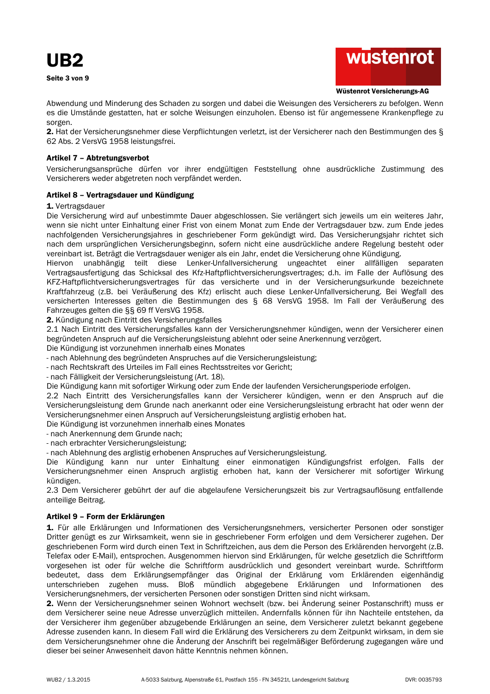



#### Wüstenrot Versicherungs-AG

Abwendung und Minderung des Schaden zu sorgen und dabei die Weisungen des Versicherers zu befolgen. Wenn es die Umstände gestatten, hat er solche Weisungen einzuholen. Ebenso ist für angemessene Krankenpflege zu sorgen.

2. Hat der Versicherungsnehmer diese Verpflichtungen verletzt, ist der Versicherer nach den Bestimmungen des § 62 Abs. 2 VersVG 1958 leistungsfrei.

# Artikel 7 - Abtretungsverbot

Versicherungsansprüche dürfen vor ihrer endgültigen Feststellung ohne ausdrückliche Zustimmung des Versicherers weder abgetreten noch verpfändet werden.

# Artikel 8 - Vertragsdauer und Kündigung

#### 1. Vertragsdauer

Die Versicherung wird auf unbestimmte Dauer abgeschlossen. Sie verlängert sich jeweils um ein weiteres Jahr, wenn sie nicht unter Einhaltung einer Frist von einem Monat zum Ende der Vertragsdauer bzw. zum Ende jedes nachfolgenden Versicherungsjahres in geschriebener Form gekündigt wird. Das Versicherungsjahr richtet sich nach dem ursprünglichen Versicherungsbeginn, sofern nicht eine ausdrückliche andere Regelung besteht oder vereinbart ist. Beträgt die Vertragsdauer weniger als ein Jahr, endet die Versicherung ohne Kündigung.

Hiervon unabhängig teilt diese Lenker-Unfallversicherung ungeachtet einer allfälligen separaten Vertragsausfertigung das Schicksal des Kfz-Haftpflichtversicherungsvertrages; d.h. im Falle der Auflösung des KFZ-Haftpflichtversicherungsvertrages für das versicherte und in der Versicherungsurkunde bezeichnete Kraftfahrzeug (z.B. bei Veräußerung des Kfz) erlischt auch diese Lenker-Unfallversicherung. Bei Wegfall des versicherten Interesses gelten die Bestimmungen des § 68 VersVG 1958. Im Fall der Veräußerung des Fahrzeuges gelten die §§ 69 ff VersVG 1958.

2. Kündigung nach Eintritt des Versicherungsfalles

2.1 Nach Eintritt des Versicherungsfalles kann der Versicherungsnehmer kündigen, wenn der Versicherer einen begründeten Anspruch auf die Versicherungsleistung ablehnt oder seine Anerkennung verzögert.

Die Kündigung ist vorzunehmen innerhalb eines Monates

- nach Ablehnung des begründeten Anspruches auf die Versicherungsleistung:

- nach Rechtskraft des Urteiles im Fall eines Rechtsstreites vor Gericht;

- nach Fälligkeit der Versicherungsleistung (Art. 18).

Die Kündigung kann mit sofortiger Wirkung oder zum Ende der laufenden Versicherungsperiode erfolgen.

2.2 Nach Eintritt des Versicherungsfalles kann der Versicherer kündigen, wenn er den Anspruch auf die Versicherungsleistung dem Grunde nach anerkannt oder eine Versicherungsleistung erbracht hat oder wenn der Versicherungsnehmer einen Anspruch auf Versicherungsleistung arglistig erhoben hat.

Die Kündigung ist vorzunehmen innerhalb eines Monates

- nach Anerkennung dem Grunde nach;

- nach erbrachter Versicherungsleistung;

- nach Ablehnung des arglistig erhobenen Anspruches auf Versicherungsleistung.

Die Kündigung kann nur unter Einhaltung einer einmonatigen Kündigungsfrist erfolgen. Falls der Versicherungsnehmer einen Anspruch arglistig erhoben hat, kann der Versicherer mit sofortiger Wirkung kündigen.

2.3 Dem Versicherer gebührt der auf die abgelaufene Versicherungszeit bis zur Vertragsauflösung entfallende anteilige Beitrag.

# Artikel 9 - Form der Erklärungen

1. Für alle Erklärungen und Informationen des Versicherungsnehmers, versicherter Personen oder sonstiger Dritter genügt es zur Wirksamkeit, wenn sie in geschriebener Form erfolgen und dem Versicherer zugehen. Der geschriebenen Form wird durch einen Text in Schriftzeichen, aus dem die Person des Erklärenden hervorgeht (z.B. Telefax oder E-Mail), entsprochen. Ausgenommen hiervon sind Erklärungen, für welche gesetzlich die Schriftform vorgesehen ist oder für welche die Schriftform ausdrücklich und gesondert vereinbart wurde. Schriftform bedeutet, dass dem Erklärungsempfänger das Original der Erklärung vom Erklärenden eigenhändig unterschrieben zugehen muss. Bloß mündlich abgegebene Erklärungen und Informationen des Versicherungsnehmers, der versicherten Personen oder sonstigen Dritten sind nicht wirksam.

2. Wenn der Versicherungsnehmer seinen Wohnort wechselt (bzw. bei Änderung seiner Postanschrift) muss er dem Versicherer seine neue Adresse unverzüglich mitteilen. Andernfalls können für ihn Nachteile entstehen, da der Versicherer ihm gegenüber abzugebende Erklärungen an seine, dem Versicherer zuletzt bekannt gegebene Adresse zusenden kann. In diesem Fall wird die Erklärung des Versicherers zu dem Zeitpunkt wirksam, in dem sie dem Versicherungsnehmer ohne die Änderung der Anschrift bei regelmäßiger Beförderung zugegangen wäre und dieser bei seiner Anwesenheit davon hätte Kenntnis nehmen können.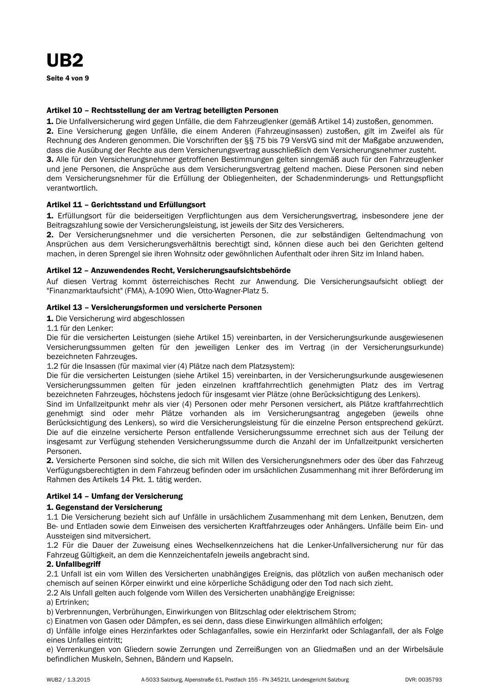#### Artikel 10 - Rechtsstellung der am Vertrag beteiligten Personen

1. Die Unfallversicherung wird gegen Unfälle, die dem Fahrzeuglenker (gemäß Artikel 14) zustoßen, genommen. 2. Eine Versicherung gegen Unfälle, die einem Anderen (Fahrzeuginsassen) zustoßen, gilt im Zweifel als für Rechnung des Anderen genommen. Die Vorschriften der §§ 75 bis 79 VersVG sind mit der Maßgabe anzuwenden. dass die Ausübung der Rechte aus dem Versicherungsvertrag ausschließlich dem Versicherungsnehmer zusteht. 3. Alle für den Versicherungsnehmer getroffenen Bestimmungen gelten sinngemäß auch für den Fahrzeuglenker und jene Personen, die Ansprüche aus dem Versicherungsvertrag geltend machen. Diese Personen sind neben dem Versicherungsnehmer für die Erfüllung der Obliegenheiten, der Schadenminderungs- und Rettungspflicht verantwortlich.

#### Artikel 11 - Gerichtsstand und Erfüllungsort

1. Erfüllungsort für die beiderseitigen Verpflichtungen aus dem Versicherungsvertrag, insbesondere jene der Beitragszahlung sowie der Versicherungsleistung, ist jeweils der Sitz des Versicherers.

2. Der Versicherungsnehmer und die versicherten Personen, die zur selbständigen Geltendmachung von Ansprüchen aus dem Versicherungsverhältnis berechtigt sind, können diese auch bei den Gerichten geltend machen, in deren Sprengel sie ihren Wohnsitz oder gewöhnlichen Aufenthalt oder ihren Sitz im Inland haben.

#### Artikel 12 - Anzuwendendes Recht, Versicherungsaufsichtsbehörde

Auf diesen Vertrag kommt österreichisches Recht zur Anwendung. Die Versicherungsaufsicht obliegt der "Finanzmarktaufsicht" (FMA), A-1090 Wien, Otto-Wagner-Platz 5.

#### Artikel 13 - Versicherungsformen und versicherte Personen

1. Die Versicherung wird abgeschlossen

1.1 für den Lenker:

Die für die versicherten Leistungen (siehe Artikel 15) vereinbarten, in der Versicherungsurkunde ausgewiesenen Versicherungssummen gelten für den jeweiligen Lenker des im Vertrag (in der Versicherungsurkunde) bezeichneten Fahrzeuges.

1.2 für die Insassen (für maximal vier (4) Plätze nach dem Platzsystem):

Die für die versicherten Leistungen (siehe Artikel 15) vereinbarten, in der Versicherungsurkunde ausgewiesenen Versicherungssummen gelten für jeden einzelnen kraftfahrrechtlich genehmigten Platz des im Vertrag bezeichneten Fahrzeuges, höchstens jedoch für insgesamt vier Plätze (ohne Berücksichtigung des Lenkers).

Sind im Unfallzeitpunkt mehr als vier (4) Personen oder mehr Personen versichert, als Plätze kraftfahrrechtlich genehmigt sind oder mehr Plätze vorhanden als im Versicherungsantrag angegeben (jeweils ohne Berücksichtigung des Lenkers), so wird die Versicherungsleistung für die einzelne Person entsprechend gekürzt. Die auf die einzelne versicherte Person entfallende Versicherungssumme errechnet sich aus der Teilung der insgesamt zur Verfügung stehenden Versicherungssumme durch die Anzahl der im Unfallzeitpunkt versicherten Personen.

2. Versicherte Personen sind solche, die sich mit Willen des Versicherungsnehmers oder des über das Fahrzeug Verfügungsberechtigten in dem Fahrzeug befinden oder im ursächlichen Zusammenhang mit ihrer Beförderung im Rahmen des Artikels 14 Pkt. 1. tätig werden.

# Artikel 14 - Umfang der Versicherung

#### 1. Gegenstand der Versicherung

1.1 Die Versicherung bezieht sich auf Unfälle in ursächlichem Zusammenhang mit dem Lenken, Benutzen, dem Be- und Entladen sowie dem Einweisen des versicherten Kraftfahrzeuges oder Anhängers. Unfälle beim Ein- und Aussteigen sind mitversichert.

1.2 Für die Dauer der Zuweisung eines Wechselkennzeichens hat die Lenker-Unfallversicherung nur für das Fahrzeug Gültigkeit, an dem die Kennzeichentafeln jeweils angebracht sind.

#### 2. Unfallbegriff

2.1 Unfall ist ein vom Willen des Versicherten unabhängiges Ereignis, das plötzlich von außen mechanisch oder chemisch auf seinen Körper einwirkt und eine körperliche Schädigung oder den Tod nach sich zieht.

2.2 Als Unfall gelten auch folgende vom Willen des Versicherten unabhängige Ereignisse:

a) Ertrinken:

b) Verbrennungen, Verbrühungen, Einwirkungen von Blitzschlag oder elektrischem Strom;

c) Einatmen von Gasen oder Dämpfen, es sei denn, dass diese Einwirkungen allmählich erfolgen;

d) Unfälle infolge eines Herzinfarktes oder Schlaganfalles, sowie ein Herzinfarkt oder Schlaganfall, der als Folge eines Unfalles eintritt:

e) Verrenkungen von Gliedern sowie Zerrungen und Zerreißungen von an Gliedmaßen und an der Wirbelsäule befindlichen Muskeln, Sehnen, Bändern und Kapseln.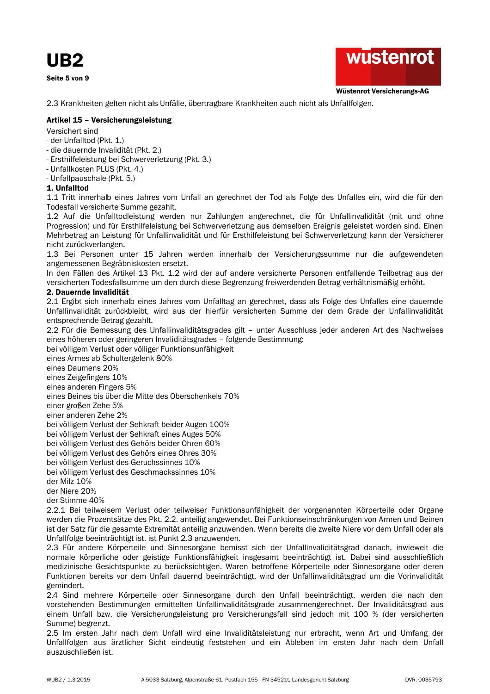UB<sub>2</sub>

Seite 5 von 9



Wüstenrot Versicherungs-AG

2.3 Krankheiten gelten nicht als Unfälle, übertragbare Krankheiten auch nicht als Unfallfolgen.

# Artikel 15 - Versicherungsleistung

Versichert sind

- der Unfalltod (Pkt. 1.)
- die dauernde Invalidität (Pkt. 2.)
- Ersthilfeleistung bei Schwerverletzung (Pkt. 3.)
- Unfallkosten PLUS (Pkt. 4.)
- Unfallpauschale (Pkt. 5.)

# 1. Unfalltod

1.1 Tritt innerhalb eines Jahres vom Unfall an gerechnet der Tod als Folge des Unfalles ein, wird die für den Todesfall versicherte Summe gezahlt.

1.2 Auf die Unfalltodleistung werden nur Zahlungen angerechnet, die für Unfallinvalidität (mit und ohne Progression) und für Ersthilfeleistung bei Schwerverletzung aus demselben Ereignis geleistet worden sind. Einen Mehrbetrag an Leistung für Unfallinvalidität und für Ersthilfeleistung bei Schwerverletzung kann der Versicherer nicht zurückverlangen.

1.3 Bei Personen unter 15 Jahren werden innerhalb der Versicherungssumme nur die aufgewendeten angemessenen Begräbniskosten ersetzt.

In den Fällen des Artikel 13 Pkt. 1.2 wird der auf andere versicherte Personen entfallende Teilbetrag aus der versicherten Todesfallsumme um den durch diese Begrenzung freiwerdenden Betrag verhältnismäßig erhöht.

# 2. Dauernde Invalidität

2.1 Ergibt sich innerhalb eines Jahres vom Unfalltag an gerechnet, dass als Folge des Unfalles eine dauernde Unfallinvalidität zurückbleibt, wird aus der hierfür versicherten Summe der dem Grade der Unfallinvalidität entsprechende Betrag gezahlt.

2.2 Für die Bemessung des Unfallinvaliditätsgrades gilt - unter Ausschluss jeder anderen Art des Nachweises eines höheren oder geringeren Invaliditätsgrades - folgende Bestimmung:

bei völligem Verlust oder völliger Funktionsunfähigkeit

eines Armes ab Schultergelenk 80%

eines Daumens 20%

eines Zeigefingers 10%

eines anderen Fingers 5%

eines Beines bis über die Mitte des Oberschenkels 70%

einer großen Zehe 5%

einer anderen Zehe 2%

bei völligem Verlust der Sehkraft beider Augen 100%

bei völligem Verlust der Sehkraft eines Auges 50%

bei völligem Verlust des Gehörs beider Ohren 60%

bei völligem Verlust des Gehörs eines Ohres 30%

bei völligem Verlust des Geruchssinnes 10%

bei völligem Verlust des Geschmackssinnes 10%

der Milz 10%

der Niere 20%

der Stimme 40%

2.2.1 Bei teilweisem Verlust oder teilweiser Funktionsunfähigkeit der vorgenannten Körperteile oder Organe werden die Prozentsätze des Pkt. 2.2. anteilig angewendet. Bei Funktionseinschränkungen von Armen und Beinen ist der Satz für die gesamte Extremität anteilig anzuwenden. Wenn bereits die zweite Niere vor dem Unfall oder als Unfallfolge beeinträchtigt ist, ist Punkt 2.3 anzuwenden.

2.3 Für andere Körperteile und Sinnesorgane bemisst sich der Unfallinvaliditätsgrad danach, inwieweit die normale körperliche oder geistige Funktionsfähigkeit insgesamt beeinträchtigt ist. Dabei sind ausschließlich medizinische Gesichtspunkte zu berücksichtigen. Waren betroffene Körperteile oder Sinnesorgane oder deren Funktionen bereits vor dem Unfall dauernd beeinträchtigt, wird der Unfallinvaliditätsgrad um die Vorinvalidität gemindert.

2.4 Sind mehrere Körperteile oder Sinnesorgane durch den Unfall beeinträchtigt, werden die nach den vorstehenden Bestimmungen ermittelten Unfallinvaliditätsgrade zusammengerechnet. Der Invaliditätsgrad aus einem Unfall bzw. die Versicherungsleistung pro Versicherungsfall sind jedoch mit 100 % (der versicherten Summe) begrenzt.

2.5 Im ersten Jahr nach dem Unfall wird eine Invaliditätsleistung nur erbracht, wenn Art und Umfang der Unfallfolgen aus ärztlicher Sicht eindeutig feststehen und ein Ableben im ersten Jahr nach dem Unfall auszuschließen ist.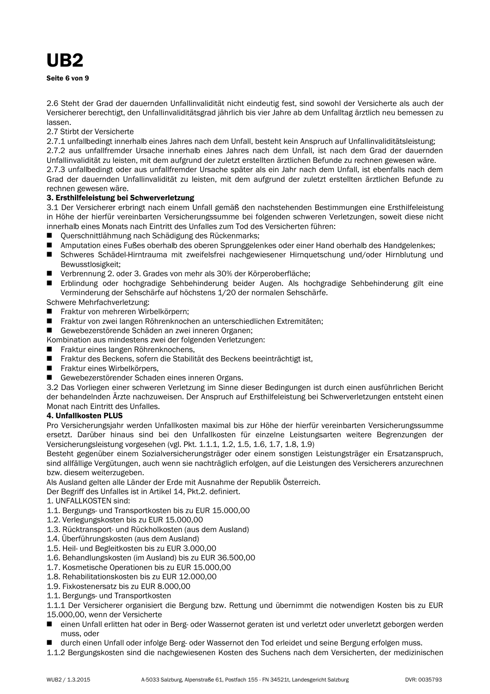# UB<sub>2</sub>

Seite 6 von 9

2.6 Steht der Grad der dauernden Unfallinvalidität nicht eindeutig fest, sind sowohl der Versicherte als auch der Versicherer berechtigt, den Unfallinvaliditätsgrad jährlich bis vier Jahre ab dem Unfalltag ärztlich neu bemessen zu lassen.

2.7 Stirbt der Versicherte

2.7.1 unfallbedingt innerhalb eines Jahres nach dem Unfall, besteht kein Anspruch auf Unfallinvaliditätsleistung;

2.7.2 aus unfallfremder Ursache innerhalb eines Jahres nach dem Unfall, ist nach dem Grad der dauernden Unfallinvalidität zu leisten, mit dem aufgrund der zuletzt erstellten ärztlichen Befunde zu rechnen gewesen wäre.

2.7.3 unfallbedingt oder aus unfallfremder Ursache später als ein Jahr nach dem Unfall, ist ebenfalls nach dem Grad der dauernden Unfallinvalidität zu leisten, mit dem aufgrund der zuletzt erstellten ärztlichen Befunde zu rechnen gewesen wäre.

# 3. Ersthilfeleistung bei Schwerverletzung

3.1 Der Versicherer erbringt nach einem Unfall gemäß den nachstehenden Bestimmungen eine Ersthilfeleistung in Höhe der hierfür vereinbarten Versicherungssumme bei folgenden schweren Verletzungen, soweit diese nicht innerhalb eines Monats nach Eintritt des Unfalles zum Tod des Versicherten führen:

- Querschnittlähmung nach Schädigung des Rückenmarks;  $\blacksquare$
- Amputation eines Fußes oberhalb des oberen Sprunggelenkes oder einer Hand oberhalb des Handgelenkes;  $\mathbf{r}$
- Schweres Schädel-Hirntrauma mit zweifelsfrei nachgewiesener Hirnquetschung und/oder Hirnblutung und Bewusstlosigkeit:
- Verbrennung 2. oder 3. Grades von mehr als 30% der Körperoberfläche;
- Erblindung oder hochgradige Sehbehinderung beider Augen. Als hochgradige Sehbehinderung gilt eine  $\blacksquare$ Verminderung der Sehschärfe auf höchstens 1/20 der normalen Sehschärfe.

Schwere Mehrfachverletzung:

- Fraktur von mehreren Wirbelkörpern;
- Fraktur von zwei langen Röhrenknochen an unterschiedlichen Extremitäten:
- Gewebezerstörende Schäden an zwei inneren Organen:

Kombination aus mindestens zwei der folgenden Verletzungen:

- Fraktur eines langen Röhrenknochens.
- Fraktur des Beckens, sofern die Stabilität des Beckens beeinträchtigt ist.
- Fraktur eines Wirbelkörpers,
- Gewebezerstörender Schaden eines inneren Organs.

3.2 Das Vorliegen einer schweren Verletzung im Sinne dieser Bedingungen ist durch einen ausführlichen Bericht der behandelnden Ärzte nachzuweisen. Der Anspruch auf Ersthilfeleistung bei Schwerverletzungen entsteht einen Monat nach Eintritt des Unfalles.

# 4. Unfallkosten PLUS

Pro Versicherungsjahr werden Unfallkosten maximal bis zur Höhe der hierfür vereinbarten Versicherungssumme ersetzt. Darüber hinaus sind bei den Unfallkosten für einzelne Leistungsarten weitere Begrenzungen der Versicherungsleistung vorgesehen (vgl. Pkt. 1.1.1, 1.2, 1.5, 1.6, 1.7, 1.8, 1.9)

Besteht gegenüber einem Sozialversicherungsträger oder einem sonstigen Leistungsträger ein Ersatzanspruch, sind allfällige Vergütungen, auch wenn sie nachträglich erfolgen, auf die Leistungen des Versicherers anzurechnen bzw. diesem weiterzugeben.

Als Ausland gelten alle Länder der Erde mit Ausnahme der Republik Österreich.

Der Begriff des Unfalles ist in Artikel 14, Pkt.2. definiert.

# 1. UNFALLKOSTEN sind:

- 1.1. Bergungs- und Transportkosten bis zu EUR 15.000,00
- 1.2. Verlegungskosten bis zu EUR 15.000,00
- 1.3. Rücktransport- und Rückholkosten (aus dem Ausland)
- 1.4. Überführungskosten (aus dem Ausland)
- 1.5. Heil- und Begleitkosten bis zu EUR 3.000.00
- 1.6. Behandlungskosten (im Ausland) bis zu EUR 36.500.00
- 1.7. Kosmetische Operationen bis zu EUR 15.000,00
- 1.8. Rehabilitationskosten bis zu EUR 12.000,00
- 1.9. Fixkostenersatz bis zu EUR 8.000,00
- 1.1. Bergungs- und Transportkosten
- 1.1.1 Der Versicherer organisiert die Bergung bzw. Rettung und übernimmt die notwendigen Kosten bis zu EUR 15.000.00, wenn der Versicherte
- einen Unfall erlitten hat oder in Berg- oder Wassernot geraten ist und verletzt oder unverletzt geborgen werden muss, oder
- durch einen Unfall oder infolge Berg- oder Wassernot den Tod erleidet und seine Bergung erfolgen muss.
- 1.1.2 Bergungskosten sind die nachgewiesenen Kosten des Suchens nach dem Versicherten, der medizinischen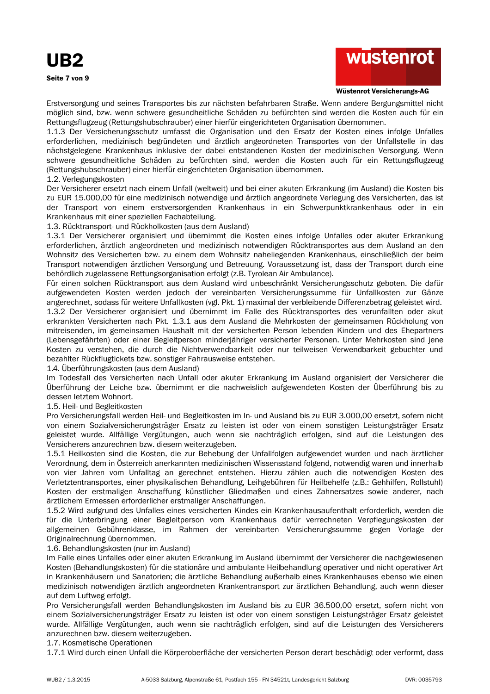

#### Wüstenrot Versicherungs-AG

Erstversorgung und seines Transportes bis zur nächsten befahrbaren Straße. Wenn andere Bergungsmittel nicht möglich sind, bzw. wenn schwere gesundheitliche Schäden zu befürchten sind werden die Kosten auch für ein Rettungsflugzeug (Rettungshubschrauber) einer hierfür eingerichteten Organisation übernommen.

1.1.3 Der Versicherungsschutz umfasst die Organisation und den Ersatz der Kosten eines infolge Unfalles erforderlichen, medizinisch begründeten und ärztlich angeordneten Transportes von der Unfallstelle in das nächstgelegene Krankenhaus inklusive der dabei entstandenen Kosten der medizinischen Versorgung. Wenn schwere gesundheitliche Schäden zu befürchten sind, werden die Kosten auch für ein Rettungsflugzeug (Rettungshubschrauber) einer hierfür eingerichteten Organisation übernommen.

#### 1.2. Verlegungskosten

Der Versicherer ersetzt nach einem Unfall (weltweit) und bei einer akuten Erkrankung (im Ausland) die Kosten bis zu EUR 15.000.00 für eine medizinisch notwendige und ärztlich angeordnete Verlegung des Versicherten, das ist der Transport von einem erstversorgenden Krankenhaus in ein Schwerpunktkrankenhaus oder in ein Krankenhaus mit einer speziellen Fachabteilung.

1.3. Rücktransport- und Rückholkosten (aus dem Ausland)

1.3.1 Der Versicherer organisiert und übernimmt die Kosten eines infolge Unfalles oder akuter Erkrankung erforderlichen, ärztlich angeordneten und medizinisch notwendigen Rücktransportes aus dem Ausland an den Wohnsitz des Versicherten bzw. zu einem dem Wohnsitz naheliegenden Krankenhaus, einschließlich der beim Transport notwendigen ärztlichen Versorgung und Betreuung. Voraussetzung ist, dass der Transport durch eine behördlich zugelassene Rettungsorganisation erfolgt (z.B. Tyrolean Air Ambulance).

Für einen solchen Rücktransport aus dem Ausland wird unbeschränkt Versicherungsschutz geboten. Die dafür aufgewendeten Kosten werden jedoch der vereinbarten Versicherungssumme für Unfallkosten zur Gänze angerechnet, sodass für weitere Unfallkosten (vgl. Pkt. 1) maximal der verbleibende Differenzbetrag geleistet wird. 1.3.2 Der Versicherer organisiert und übernimmt im Falle des Rücktransportes des verunfallten oder akut erkrankten Versicherten nach Pkt. 1.3.1 aus dem Ausland die Mehrkosten der gemeinsamen Rückholung von mitreisenden, im gemeinsamen Haushalt mit der versicherten Person lebenden Kindern und des Ehepartners (Lebensgefährten) oder einer Begleitperson minderjähriger versicherter Personen. Unter Mehrkosten sind jene Kosten zu verstehen, die durch die Nichtverwendbarkeit oder nur teilweisen Verwendbarkeit gebuchter und bezahlter Rückflugtickets bzw. sonstiger Fahrausweise entstehen.

1.4. Überführungskosten (aus dem Ausland)

Im Todesfall des Versicherten nach Unfall oder akuter Erkrankung im Ausland organisiert der Versicherer die Überführung der Leiche bzw. übernimmt er die nachweislich aufgewendeten Kosten der Überführung bis zu dessen letztem Wohnort.

1.5. Heil- und Begleitkosten

Pro Versicherungsfall werden Heil- und Begleitkosten im In- und Ausland bis zu EUR 3.000,00 ersetzt, sofern nicht von einem Sozialversicherungsträger Ersatz zu leisten ist oder von einem sonstigen Leistungsträger Ersatz geleistet wurde. Allfällige Vergütungen, auch wenn sie nachträglich erfolgen, sind auf die Leistungen des Versicherers anzurechnen bzw. diesem weiterzugeben.

1.5.1 Heilkosten sind die Kosten, die zur Behebung der Unfallfolgen aufgewendet wurden und nach ärztlicher Verordnung, dem in Österreich anerkannten medizinischen Wissensstand folgend, notwendig waren und innerhalb von vier Jahren vom Unfalltag an gerechnet entstehen. Hierzu zählen auch die notwendigen Kosten des Verletztentransportes, einer physikalischen Behandlung, Leihgebühren für Heilbehelfe (z.B.: Gehhilfen, Rollstuhl) Kosten der erstmaligen Anschaffung künstlicher Gliedmaßen und eines Zahnersatzes sowie anderer, nach ärztlichem Ermessen erforderlicher erstmaliger Anschaffungen.

1.5.2 Wird aufgrund des Unfalles eines versicherten Kindes ein Krankenhausaufenthalt erforderlich, werden die für die Unterbringung einer Begleitperson vom Krankenhaus dafür verrechneten Verpflegungskosten der allgemeinen Gebührenklasse, im Rahmen der vereinbarten Versicherungssumme gegen Vorlage der Originalrechnung übernommen.

# 1.6. Behandlungskosten (nur im Ausland)

Im Falle eines Unfalles oder einer akuten Erkrankung im Ausland übernimmt der Versicherer die nachgewiesenen Kosten (Behandlungskosten) für die stationäre und ambulante Heilbehandlung operativer und nicht operativer Art in Krankenhäusern und Sanatorien; die ärztliche Behandlung außerhalb eines Krankenhauses ebenso wie einen medizinisch notwendigen ärztlich angeordneten Krankentransport zur ärztlichen Behandlung, auch wenn dieser auf dem Luftweg erfolgt.

Pro Versicherungsfall werden Behandlungskosten im Ausland bis zu EUR 36.500,00 ersetzt, sofern nicht von einem Sozialversicherungsträger Ersatz zu leisten ist oder von einem sonstigen Leistungsträger Ersatz geleistet wurde. Allfällige Vergütungen, auch wenn sie nachträglich erfolgen, sind auf die Leistungen des Versicherers anzurechnen bzw. diesem weiterzugeben.

1.7. Kosmetische Operationen

1.7.1 Wird durch einen Unfall die Körperoberfläche der versicherten Person derart beschädigt oder verformt, dass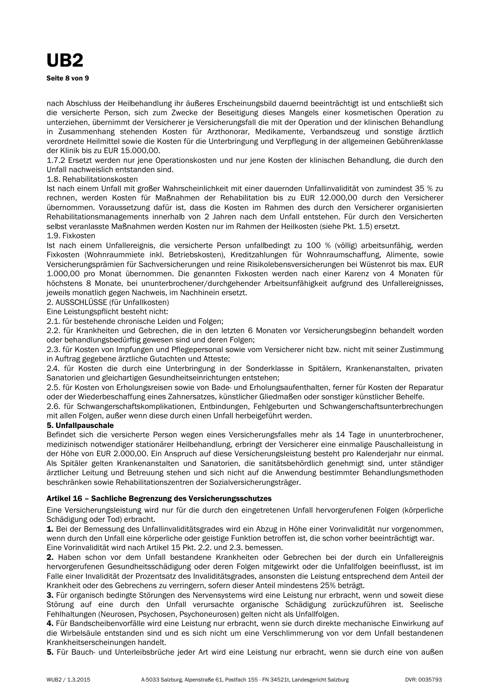nach Abschluss der Heilbehandlung ihr äußeres Erscheinungsbild dauernd beeinträchtigt ist und entschließt sich die versicherte Person, sich zum Zwecke der Beseitigung dieses Mangels einer kosmetischen Operation zu unterziehen, übernimmt der Versicherer je Versicherungsfall die mit der Operation und der klinischen Behandlung in Zusammenhang stehenden Kosten für Arzthonorar, Medikamente, Verbandszeug und sonstige ärztlich verordnete Heilmittel sowie die Kosten für die Unterbringung und Verpflegung in der allgemeinen Gebührenklasse der Klinik bis zu EUR 15.000.00.

1.7.2 Ersetzt werden nur jene Operationskosten und nur jene Kosten der klinischen Behandlung, die durch den Unfall nachweislich entstanden sind

# 1.8. Rehabilitationskosten

Ist nach einem Unfall mit großer Wahrscheinlichkeit mit einer dauernden Unfallinvalidität von zumindest 35 % zu rechnen, werden Kosten für Maßnahmen der Rehabilitation bis zu EUR 12.000,00 durch den Versicherer übernommen. Voraussetzung dafür ist, dass die Kosten im Rahmen des durch den Versicherer organisierten Rehabilitationsmanagements innerhalb von 2 Jahren nach dem Unfall entstehen. Für durch den Versicherten selbst veranlasste Maßnahmen werden Kosten nur im Rahmen der Heilkosten (siehe Pkt. 1.5) ersetzt. 1.9. Fixkosten

Ist nach einem Unfallereignis, die versicherte Person unfallbedingt zu 100 % (völlig) arbeitsunfähig, werden Fixkosten (Wohnraummiete inkl. Betriebskosten), Kreditzahlungen für Wohnraumschaffung, Alimente, sowie Versicherungsprämien für Sachversicherungen und reine Risikolebensversicherungen bei Wüstenrot bis max. EUR 1.000,00 pro Monat übernommen. Die genannten Fixkosten werden nach einer Karenz von 4 Monaten für höchstens 8 Monate, bei ununterbrochener/durchgehender Arbeitsunfähigkeit aufgrund des Unfallereignisses, jeweils monatlich gegen Nachweis, im Nachhinein ersetzt.

2. AUSSCHLÜSSE (für Unfallkosten)

Eine Leistungspflicht besteht nicht:

2.1. für bestehende chronische Leiden und Folgen;

2.2. für Krankheiten und Gebrechen, die in den letzten 6 Monaten vor Versicherungsbeginn behandelt worden oder behandlungsbedürftig gewesen sind und deren Folgen;

2.3. für Kosten von Impfungen und Pflegepersonal sowie vom Versicherer nicht bzw. nicht mit seiner Zustimmung in Auftrag gegebene ärztliche Gutachten und Atteste:

2.4. für Kosten die durch eine Unterbringung in der Sonderklasse in Spitälern, Krankenanstalten, privaten Sanatorien und gleichartigen Gesundheitseinrichtungen entstehen;

2.5. für Kosten von Erholungsreisen sowie von Bade- und Erholungsaufenthalten, ferner für Kosten der Reparatur oder der Wiederbeschaffung eines Zahnersatzes, künstlicher Gliedmaßen oder sonstiger künstlicher Behelfe.

2.6. für Schwangerschaftskomplikationen, Entbindungen, Fehlgeburten und Schwangerschaftsunterbrechungen mit allen Folgen, außer wenn diese durch einen Unfall herbeigeführt werden.

# 5. Unfallpauschale

Befindet sich die versicherte Person wegen eines Versicherungsfalles mehr als 14 Tage in ununterbrochener, medizinisch notwendiger stationärer Heilbehandlung, erbringt der Versicherer eine einmalige Pauschalleistung in der Höhe von EUR 2.000,00. Ein Anspruch auf diese Versicherungsleistung besteht pro Kalenderjahr nur einmal. Als Spitäler gelten Krankenanstalten und Sanatorien, die sanitätsbehördlich genehmigt sind, unter ständiger ärztlicher Leitung und Betreuung stehen und sich nicht auf die Anwendung bestimmter Behandlungsmethoden beschränken sowie Rehabilitationszentren der Sozialversicherungsträger.

# Artikel 16 - Sachliche Begrenzung des Versicherungsschutzes

Eine Versicherungsleistung wird nur für die durch den eingetretenen Unfall hervorgerufenen Folgen (körperliche Schädigung oder Tod) erbracht.

1. Bei der Bemessung des Unfallinvaliditätsgrades wird ein Abzug in Höhe einer Vorinvalidität nur vorgenommen. wenn durch den Unfall eine körperliche oder geistige Funktion betroffen ist, die schon vorher beeinträchtigt war.

Eine Vorinvalidität wird nach Artikel 15 Pkt. 2.2. und 2.3. bemessen.

2. Haben schon vor dem Unfall bestandene Krankheiten oder Gebrechen bei der durch ein Unfallereignis hervorgerufenen Gesundheitsschädigung oder deren Folgen mitgewirkt oder die Unfallfolgen beeinflusst, ist im Falle einer Invalidität der Prozentsatz des Invaliditätsgrades, ansonsten die Leistung entsprechend dem Anteil der Krankheit oder des Gebrechens zu verringern, sofern dieser Anteil mindestens 25% beträgt.

3. Für organisch bedingte Störungen des Nervensystems wird eine Leistung nur erbracht, wenn und soweit diese Störung auf eine durch den Unfall verursachte organische Schädigung zurückzuführen ist. Seelische Fehlhaltungen (Neurosen, Psychosen, Psychoneurosen) gelten nicht als Unfallfolgen.

4. Für Bandscheibenvorfälle wird eine Leistung nur erbracht, wenn sie durch direkte mechanische Einwirkung auf die Wirbelsäule entstanden sind und es sich nicht um eine Verschlimmerung von vor dem Unfall bestandenen Krankheitserscheinungen handelt.

5. Für Bauch- und Unterleibsbrüche jeder Art wird eine Leistung nur erbracht, wenn sie durch eine von außen